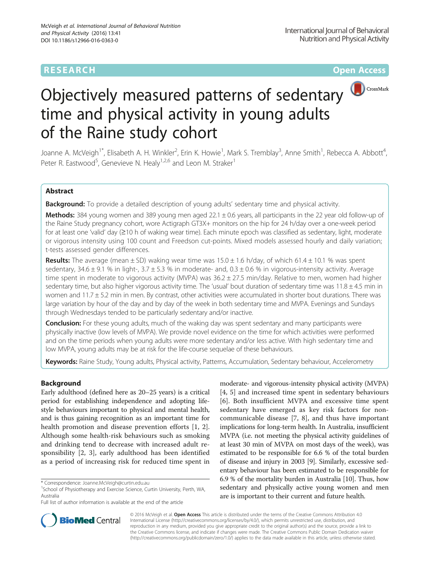## **RESEARCH CHE Open Access**



# Objectively measured patterns of sedentary time and physical activity in young adults of the Raine study cohort

Joanne A. McVeigh<sup>1\*</sup>, Elisabeth A. H. Winkler<sup>2</sup>, Erin K. Howie<sup>1</sup>, Mark S. Tremblay<sup>3</sup>, Anne Smith<sup>1</sup>, Rebecca A. Abbott<sup>4</sup> , Peter R. Eastwood<sup>5</sup>, Genevieve N. Healy<sup>1,2,6</sup> and Leon M. Straker<sup>1</sup>

## Abstract

Background: To provide a detailed description of young adults' sedentary time and physical activity.

Methods: 384 young women and 389 young men aged 22.1 ± 0.6 years, all participants in the 22 year old follow-up of the Raine Study pregnancy cohort, wore Actigraph GT3X+ monitors on the hip for 24 h/day over a one-week period for at least one 'valid' day (≥10 h of waking wear time). Each minute epoch was classified as sedentary, light, moderate or vigorous intensity using 100 count and Freedson cut-points. Mixed models assessed hourly and daily variation; t-tests assessed gender differences.

**Results:** The average (mean  $\pm$  SD) waking wear time was 15.0  $\pm$  1.6 h/day, of which 61.4  $\pm$  10.1 % was spent sedentary,  $34.6 \pm 9.1$  % in light-,  $3.7 \pm 5.3$  % in moderate- and,  $0.3 \pm 0.6$  % in vigorous-intensity activity. Average time spent in moderate to vigorous activity (MVPA) was  $36.2 \pm 27.5$  min/day. Relative to men, women had higher sedentary time, but also higher vigorous activity time. The 'usual' bout duration of sedentary time was  $11.8 \pm 4.5$  min in women and 11.7 ± 5.2 min in men. By contrast, other activities were accumulated in shorter bout durations. There was large variation by hour of the day and by day of the week in both sedentary time and MVPA. Evenings and Sundays through Wednesdays tended to be particularly sedentary and/or inactive.

**Conclusion:** For these young adults, much of the waking day was spent sedentary and many participants were physically inactive (low levels of MVPA). We provide novel evidence on the time for which activities were performed and on the time periods when young adults were more sedentary and/or less active. With high sedentary time and low MVPA, young adults may be at risk for the life-course sequelae of these behaviours.

Keywords: Raine Study, Young adults, Physical activity, Patterns, Accumulation, Sedentary behaviour, Accelerometry

## Background

Early adulthood (defined here as 20–25 years) is a critical period for establishing independence and adopting lifestyle behaviours important to physical and mental health, and is thus gaining recognition as an important time for health promotion and disease prevention efforts [[1](#page-10-0), [2](#page-10-0)]. Although some health-risk behaviours such as smoking and drinking tend to decrease with increased adult responsibility [[2, 3](#page-10-0)], early adulthood has been identified as a period of increasing risk for reduced time spent in

moderate- and vigorous-intensity physical activity (MVPA) [[4, 5\]](#page-10-0) and increased time spent in sedentary behaviours [[6\]](#page-10-0). Both insufficient MVPA and excessive time spent sedentary have emerged as key risk factors for noncommunicable disease [[7, 8\]](#page-10-0), and thus have important implications for long-term health. In Australia, insufficient MVPA (i.e. not meeting the physical activity guidelines of at least 30 min of MVPA on most days of the week), was estimated to be responsible for 6.6 % of the total burden of disease and injury in 2003 [[9\]](#page-10-0). Similarly, excessive sedentary behaviour has been estimated to be responsible for 6.9 % of the mortality burden in Australia [\[10\]](#page-10-0). Thus, how sedentary and physically active young women and men are is important to their current and future health.



© 2016 McVeigh et al. Open Access This article is distributed under the terms of the Creative Commons Attribution 4.0 International License [\(http://creativecommons.org/licenses/by/4.0/](http://creativecommons.org/licenses/by/4.0/)), which permits unrestricted use, distribution, and reproduction in any medium, provided you give appropriate credit to the original author(s) and the source, provide a link to the Creative Commons license, and indicate if changes were made. The Creative Commons Public Domain Dedication waiver [\(http://creativecommons.org/publicdomain/zero/1.0/](http://creativecommons.org/publicdomain/zero/1.0/)) applies to the data made available in this article, unless otherwise stated.

<sup>\*</sup> Correspondence: [Joanne.McVeigh@curtin.edu.au](mailto:Joanne.McVeigh@curtin.edu.au) <sup>1</sup>

<sup>&</sup>lt;sup>1</sup>School of Physiotherapy and Exercise Science, Curtin University, Perth, WA, Australia

Full list of author information is available at the end of the article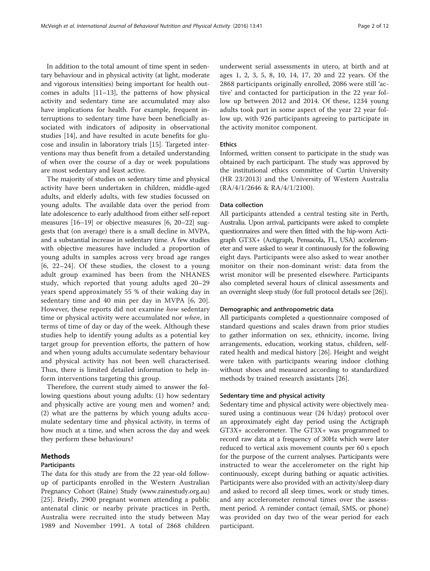In addition to the total amount of time spent in sedentary behaviour and in physical activity (at light, moderate and vigorous intensities) being important for health outcomes in adults [\[11](#page-10-0)–[13\]](#page-10-0), the patterns of how physical activity and sedentary time are accumulated may also have implications for health. For example, frequent interruptions to sedentary time have been beneficially associated with indicators of adiposity in observational studies [[14](#page-10-0)], and have resulted in acute benefits for glucose and insulin in laboratory trials [\[15](#page-10-0)]. Targeted interventions may thus benefit from a detailed understanding of when over the course of a day or week populations are most sedentary and least active.

The majority of studies on sedentary time and physical activity have been undertaken in children, middle-aged adults, and elderly adults, with few studies focussed on young adults. The available data over the period from late adolescence to early adulthood from either self-report measures [\[16](#page-10-0)–[19](#page-10-0)] or objective measures [\[6](#page-10-0), [20](#page-10-0)–[22](#page-10-0)] suggests that (on average) there is a small decline in MVPA, and a substantial increase in sedentary time. A few studies with objective measures have included a proportion of young adults in samples across very broad age ranges [[6, 22](#page-10-0)–[24\]](#page-10-0). Of these studies, the closest to a young adult group examined has been from the NHANES study, which reported that young adults aged 20–29 years spend approximately 55 % of their waking day in sedentary time and 40 min per day in MVPA [[6, 20](#page-10-0)]. However, these reports did not examine how sedentary time or physical activity were accumulated nor when, in terms of time of day or day of the week. Although these studies help to identify young adults as a potential key target group for prevention efforts, the pattern of how and when young adults accumulate sedentary behaviour and physical activity has not been well characterised. Thus, there is limited detailed information to help inform interventions targeting this group.

Therefore, the current study aimed to answer the following questions about young adults: (1) how sedentary and physically active are young men and women? and; (2) what are the patterns by which young adults accumulate sedentary time and physical activity, in terms of how much at a time, and when across the day and week they perform these behaviours?

### Methods

#### Participants

The data for this study are from the 22 year-old followup of participants enrolled in the Western Australian Pregnancy Cohort (Raine) Study ([www.rainestudy.org.au](http://www.rainestudy.org.au)) [[25\]](#page-10-0). Briefly, 2900 pregnant women attending a public antenatal clinic or nearby private practices in Perth, Australia were recruited into the study between May 1989 and November 1991. A total of 2868 children

underwent serial assessments in utero, at birth and at ages 1, 2, 3, 5, 8, 10, 14, 17, 20 and 22 years. Of the 2868 participants originally enrolled, 2086 were still 'active' and contacted for participation in the 22 year follow up between 2012 and 2014. Of these, 1234 young adults took part in some aspect of the year 22 year follow up, with 926 participants agreeing to participate in the activity monitor component.

## Ethics

Informed, written consent to participate in the study was obtained by each participant. The study was approved by the institutional ethics committee of Curtin University (HR 23/2013) and the University of Western Australia (RA/4/1/2646 & RA/4/1/2100).

## Data collection

All participants attended a central testing site in Perth, Australia. Upon arrival, participants were asked to complete questionnaires and were then fitted with the hip-worn Actigraph GT3X+ (Actigraph, Pensacola, FL, USA) accelerometer and were asked to wear it continuously for the following eight days. Participants were also asked to wear another monitor on their non-dominant wrist: data from the wrist monitor will be presented elsewhere. Participants also completed several hours of clinical assessments and an overnight sleep study (for full protocol details see [[26](#page-10-0)]).

## Demographic and anthropometric data

All participants completed a questionnaire composed of standard questions and scales drawn from prior studies to gather information on sex, ethnicity, income, living arrangements, education, working status, children, selfrated health and medical history [\[26](#page-10-0)]. Height and weight were taken with participants wearing indoor clothing without shoes and measured according to standardized methods by trained research assistants [[26](#page-10-0)].

## Sedentary time and physical activity

Sedentary time and physical activity were objectively measured using a continuous wear (24 h/day) protocol over an approximately eight day period using the Actigraph GT3X+ accelerometer. The GT3X+ was programmed to record raw data at a frequency of 30Hz which were later reduced to vertical axis movement counts per 60 s epoch for the purpose of the current analyses. Participants were instructed to wear the accelerometer on the right hip continuously, except during bathing or aquatic activities. Participants were also provided with an activity/sleep diary and asked to record all sleep times, work or study times, and any accelerometer removal times over the assessment period. A reminder contact (email, SMS, or phone) was provided on day two of the wear period for each participant.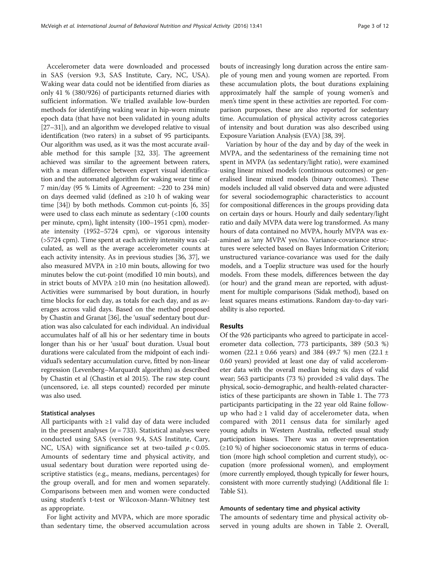Accelerometer data were downloaded and processed in SAS (version 9.3, SAS Institute, Cary, NC, USA). Waking wear data could not be identified from diaries as only 41 % (380/926) of participants returned diaries with sufficient information. We trialled available low-burden methods for identifying waking wear in hip-worn minute epoch data (that have not been validated in young adults [[27](#page-10-0)–[31\]](#page-11-0)), and an algorithm we developed relative to visual identification (two raters) in a subset of 95 participants. Our algorithm was used, as it was the most accurate available method for this sample [\[32, 33](#page-11-0)]. The agreement achieved was similar to the agreement between raters, with a mean difference between expert visual identification and the automated algorithm for waking wear time of 7 min/day (95 % Limits of Agreement: −220 to 234 min) on days deemed valid (defined as ≥10 h of waking wear time [[34](#page-11-0)]) by both methods. Common cut-points [\[6,](#page-10-0) [35](#page-11-0)] were used to class each minute as sedentary (<100 counts per minute, cpm), light intensity (100–1951 cpm), moderate intensity (1952–5724 cpm), or vigorous intensity (>5724 cpm). Time spent at each activity intensity was calculated, as well as the average accelerometer counts at each activity intensity. As in previous studies [\[36, 37\]](#page-11-0), we also measured MVPA in  $\geq 10$  min bouts, allowing for two minutes below the cut-point (modified 10 min bouts), and in strict bouts of MVPA ≥10 min (no hesitation allowed). Activities were summarised by bout duration, in hourly time blocks for each day, as totals for each day, and as averages across valid days. Based on the method proposed by Chastin and Granat [[36](#page-11-0)], the 'usual'sedentary bout duration was also calculated for each individual. An individual accumulates half of all his or her sedentary time in bouts longer than his or her 'usual' bout duration. Usual bout durations were calculated from the midpoint of each individual's sedentary accumulation curve, fitted by non-linear regression (Levenberg–Marquardt algorithm) as described by Chastin et al (Chastin et al 2015). The raw step count (uncensored, i.e. all steps counted) recorded per minute was also used.

## Statistical analyses

All participants with ≥1 valid day of data were included in the present analyses ( $n = 733$ ). Statistical analyses were conducted using SAS (version 9.4, SAS Institute, Cary, NC, USA) with significance set at two-tailed  $p < 0.05$ . Amounts of sedentary time and physical activity, and usual sedentary bout duration were reported using descriptive statistics (e.g., means, medians, percentages) for the group overall, and for men and women separately. Comparisons between men and women were conducted using student's t-test or Wilcoxon-Mann-Whitney test as appropriate.

For light activity and MVPA, which are more sporadic than sedentary time, the observed accumulation across bouts of increasingly long duration across the entire sample of young men and young women are reported. From these accumulation plots, the bout durations explaining approximately half the sample of young women's and men's time spent in these activities are reported. For comparison purposes, these are also reported for sedentary time. Accumulation of physical activity across categories of intensity and bout duration was also described using Exposure Variation Analysis (EVA) [\[38, 39](#page-11-0)].

Variation by hour of the day and by day of the week in MVPA, and the sedentariness of the remaining time not spent in MVPA (as sedentary/light ratio), were examined using linear mixed models (continuous outcomes) or generalised linear mixed models (binary outcomes). These models included all valid observed data and were adjusted for several sociodemographic characteristics to account for compositional differences in the groups providing data on certain days or hours. Hourly and daily sedentary/light ratio and daily MVPA data were log transformed. As many hours of data contained no MVPA, hourly MVPA was examined as 'any MVPA' yes/no. Variance-covariance structures were selected based on Bayes Information Criterion; unstructured variance-covariance was used for the daily models, and a Toepliz structure was used for the hourly models. From these models, differences between the day (or hour) and the grand mean are reported, with adjustment for multiple comparisons (Sidak method), based on least squares means estimations. Random day-to-day variability is also reported.

## Results

Of the 926 participants who agreed to participate in accelerometer data collection, 773 participants, 389 (50.3 %) women (22.1 ± 0.66 years) and 384 (49.7 %) men (22.1 ± 0.60 years) provided at least one day of valid accelerometer data with the overall median being six days of valid wear; 563 participants (73 %) provided ≥4 valid days. The physical, socio-demographic, and health-related characteristics of these participants are shown in Table [1](#page-3-0). The 773 participants participating in the 22 year old Raine followup who had  $\geq 1$  valid day of accelerometer data, when compared with 2011 census data for similarly aged young adults in Western Australia, reflected usual study participation biases. There was an over-representation (≥10 %) of higher socioeconomic status in terms of education (more high school completion and current study), occupation (more professional women), and employment (more currently employed, though typically for fewer hours, consistent with more currently studying) (Additional file [1](#page-10-0): Table S1).

## Amounts of sedentary time and physical activity

The amounts of sedentary time and physical activity observed in young adults are shown in Table [2.](#page-4-0) Overall,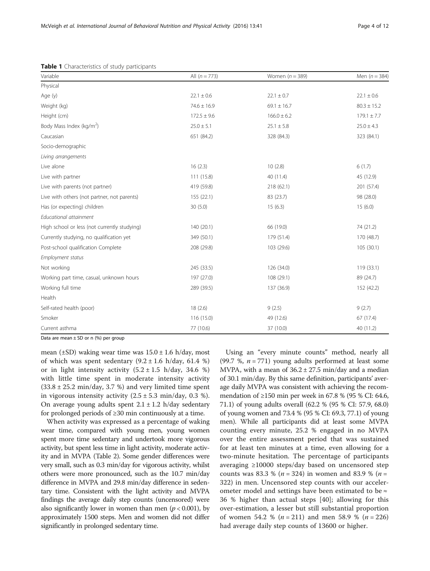| Variable                                     | All $(n = 773)$ | Women $(n = 389)$ | Men $(n = 384)$ |
|----------------------------------------------|-----------------|-------------------|-----------------|
| Physical                                     |                 |                   |                 |
| Age (y)                                      | $22.1 \pm 0.6$  | $22.1 \pm 0.7$    | $22.1 \pm 0.6$  |
| Weight (kg)                                  | $74.6 \pm 16.9$ | $69.1 \pm 16.7$   | $80.3 \pm 15.2$ |
| Height (cm)                                  | $172.5 \pm 9.6$ | $166.0 \pm 6.2$   | $179.1 \pm 7.7$ |
| Body Mass Index (kg/m <sup>2</sup> )         | $25.0 \pm 5.1$  | $25.1\pm5.8$      | $25.0 \pm 4.3$  |
| Caucasian                                    | 651 (84.2)      | 328 (84.3)        | 323 (84.1)      |
| Socio-demographic                            |                 |                   |                 |
| Living arrangements                          |                 |                   |                 |
| Live alone                                   | 16(2.3)         | 10(2.8)           | 6(1.7)          |
| Live with partner                            | 111 (15.8)      | 40 (11.4)         | 45 (12.9)       |
| Live with parents (not partner)              | 419 (59.8)      | 218 (62.1)        | 201 (57.4)      |
| Live with others (not partner, not parents)  | 155(22.1)       | 83 (23.7)         | 98 (28.0)       |
| Has (or expecting) children                  | 30(5.0)         | 15(6.3)           | 15(6.0)         |
| Educational attainment                       |                 |                   |                 |
| High school or less (not currently studying) | 140 (20.1)      | 66 (19.0)         | 74 (21.2)       |
| Currently studying, no qualification yet     | 349 (50.1)      | 179 (51.4)        | 170 (48.7)      |
| Post-school qualification Complete           | 208 (29.8)      | 103 (29.6)        | 105(30.1)       |
| Employment status                            |                 |                   |                 |
| Not working                                  | 245 (33.5)      | 126 (34.0)        | 119 (33.1)      |
| Working part time, casual, unknown hours     | 197 (27.0)      | 108 (29.1)        | 89 (24.7)       |
| Working full time                            | 289 (39.5)      | 137 (36.9)        | 152 (42.2)      |
| Health                                       |                 |                   |                 |
| Self-rated health (poor)                     | 18(2.6)         | 9(2.5)            | 9(2.7)          |
| Smoker                                       | 116 (15.0)      | 49 (12.6)         | 67 (17.4)       |
| Current asthma                               | 77 (10.6)       | 37 (10.0)         | 40 (11.2)       |

<span id="page-3-0"></span>Table 1 Characteristics of study participants

Data are mean  $\pm$  SD or n (%) per group

mean ( $\pm$ SD) waking wear time was  $15.0 \pm 1.6$  h/day, most of which was spent sedentary  $(9.2 \pm 1.6 \text{ h/day}, 61.4 \text{ %})$ or in light intensity activity  $(5.2 \pm 1.5 \text{ h/day}, 34.6 \text{ %})$ with little time spent in moderate intensity activity  $(33.8 \pm 25.2 \text{ min/day}, 3.7 \text{ %})$  and very limited time spent in vigorous intensity activity  $(2.5 \pm 5.3 \text{ min/day}, 0.3 \text{ %})$ . On average young adults spent  $2.1 \pm 1.2$  h/day sedentary for prolonged periods of ≥30 min continuously at a time.

When activity was expressed as a percentage of waking wear time, compared with young men, young women spent more time sedentary and undertook more vigorous activity, but spent less time in light activity, moderate activity and in MVPA (Table [2\)](#page-4-0). Some gender differences were very small, such as 0.3 min/day for vigorous activity, whilst others were more pronounced, such as the 10.7 min/day difference in MVPA and 29.8 min/day difference in sedentary time. Consistent with the light activity and MVPA findings the average daily step counts (uncensored) were also significantly lower in women than men ( $p < 0.001$ ), by approximately 1500 steps. Men and women did not differ significantly in prolonged sedentary time.

Using an "every minute counts" method, nearly all (99.7 %,  $n = 771$ ) young adults performed at least some MVPA, with a mean of  $36.2 \pm 27.5$  min/day and a median of 30.1 min/day. By this same definition, participants' average daily MVPA was consistent with achieving the recommendation of ≥150 min per week in 67.8 % (95 % CI: 64.6, 71.1) of young adults overall (62.2 % (95 % CI: 57.9, 68.0) of young women and 73.4 % (95 % CI: 69.3, 77.1) of young men). While all participants did at least some MVPA counting every minute, 25.2 % engaged in no MVPA over the entire assessment period that was sustained for at least ten minutes at a time, even allowing for a two-minute hesitation. The percentage of participants averaging ≥10000 steps/day based on uncensored step counts was 83.3 % ( $n = 324$ ) in women and 83.9 % ( $n =$ 322) in men. Uncensored step counts with our accelerometer model and settings have been estimated to be  $\approx$ 36 % higher than actual steps [[40\]](#page-11-0); allowing for this over-estimation, a lesser but still substantial proportion of women 54.2 % ( $n = 211$ ) and men 58.9 % ( $n = 226$ ) had average daily step counts of 13600 or higher.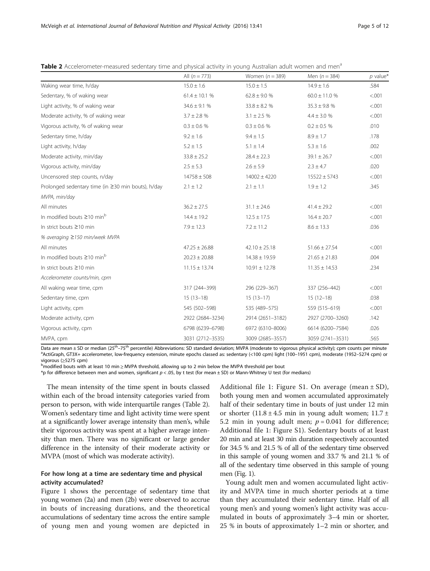|                                                    | All $(n = 773)$   | Women $(n = 389)$ | Men $(n = 384)$   | $p$ value* |
|----------------------------------------------------|-------------------|-------------------|-------------------|------------|
| Waking wear time, h/day                            | $15.0 \pm 1.6$    | $15.0 \pm 1.5$    | $14.9 \pm 1.6$    | .584       |
| Sedentary, % of waking wear                        | $61.4 \pm 10.1$ % | $62.8 \pm 9.0$ %  | $60.0 \pm 11.0$ % | < 0.001    |
| Light activity, % of waking wear                   | $34.6 \pm 9.1$ %  | $33.8 \pm 8.2$ %  | $35.3\pm9.8$ %    | < 0.001    |
| Moderate activity, % of waking wear                | $3.7 \pm 2.8$ %   | $3.1 \pm 2.5$ %   | $4.4 \pm 3.0 \%$  | < 0.001    |
| Vigorous activity, % of waking wear                | $0.3 \pm 0.6$ %   | $0.3 \pm 0.6$ %   | $0.2 \pm 0.5$ %   | .010       |
| Sedentary time, h/day                              | $9.2 \pm 1.6$     | $9.4 \pm 1.5$     | $8.9 \pm 1.7$     | .178       |
| Light activity, h/day                              | $5.2 \pm 1.5$     | $5.1 \pm 1.4$     | $5.3 \pm 1.6$     | .002       |
| Moderate activity, min/day                         | $33.8 \pm 25.2$   | $28.4 \pm 22.3$   | $39.1 \pm 26.7$   | < .001     |
| Vigorous activity, min/day                         | $2.5 \pm 5.3$     | $2.6 \pm 5.9$     | $2.3 \pm 4.7$     | .020       |
| Uncensored step counts, n/day                      | $14758 \pm 508$   | $14002 \pm 4220$  | $15522 \pm 5743$  | < .001     |
| Prolonged sedentary time (in ≥30 min bouts), h/day | $2.1 \pm 1.2$     | $2.1 \pm 1.1$     | $1.9 \pm 1.2$     | .345       |
| MVPA, min/day                                      |                   |                   |                   |            |
| All minutes                                        | $36.2 \pm 27.5$   | $31.1 \pm 24.6$   | $41.4 \pm 29.2$   | < 0.001    |
| In modified bouts $\geq$ 10 min <sup>b</sup>       | $14.4 \pm 19.2$   | $12.5 \pm 17.5$   | $16.4 \pm 20.7$   | < .001     |
| In strict bouts ≥10 min                            | $7.9 \pm 12.3$    | $7.2 \pm 11.2$    | $8.6 \pm 13.3$    | .036       |
| % averaging ≥150 min/week MVPA                     |                   |                   |                   |            |
| All minutes                                        | $47.25 \pm 26.88$ | $42.10 \pm 25.18$ | $51.66 \pm 27.54$ | < .001     |
| In modified bouts $\geq$ 10 min <sup>b</sup>       | $20.23 \pm 20.88$ | $14.38 \pm 19.59$ | $21.65 \pm 21.83$ | .004       |
| In strict bouts ≥10 min                            | $11.15 \pm 13.74$ | $10.91 \pm 12.78$ | $11.35 \pm 14.53$ | .234       |
| Accelerometer counts/min, cpm                      |                   |                   |                   |            |
| All waking wear time, cpm                          | 317 (244-399)     | 296 (229-367)     | 337 (256-442)     | < .001     |
| Sedentary time, cpm                                | $15(13-18)$       | $15(13-17)$       | $15(12-18)$       | .038       |
| Light activity, cpm                                | 545 (502-598)     | 535 (489-575)     | 559 (515-619)     | < .001     |
| Moderate activity, cpm                             | 2922 (2684-3234)  | 2914 (2651-3182)  | 2927 (2700-3260)  | .142       |
| Vigorous activity, cpm                             | 6798 (6239-6798)  | 6972 (6310-8006)  | 6614 (6200-7584)  | .026       |
| MVPA, cpm                                          | 3031 (2712-3535)  | 3009 (2685-3557)  | 3059 (2741-3531)  | .565       |

<span id="page-4-0"></span>Table 2 Accelerometer-measured sedentary time and physical activity in young Australian adult women and men<sup>a</sup>

Data are mean  $\pm$  SD or median (25<sup>th</sup>–75<sup>th</sup> percentile) Abbreviations: SD standard deviation; MVPA (moderate to vigorous physical activity); cpm counts per minute ActiGraph, GT3X+ accelerometer, low-frequency extension, minute epochs classed as: sedentary (<100 cpm) light (100–1951 cpm), moderate (1952–5274 cpm) or vigorous (>5275 cpm)

modified bouts with at least 10 min ≥ MVPA threshold, allowing up to 2 min below the MVPA threshold per bout

\*p for difference between men and women, significant  $p < .05$ , by t test (for mean  $\pm$  SD) or Mann-Whitney U test (for medians)

The mean intensity of the time spent in bouts classed within each of the broad intensity categories varied from person to person, with wide interquartile ranges (Table 2). Women's sedentary time and light activity time were spent at a significantly lower average intensity than men's, while their vigorous activity was spent at a higher average intensity than men. There was no significant or large gender difference in the intensity of their moderate activity or MVPA (most of which was moderate activity).

## For how long at a time are sedentary time and physical activity accumulated?

Figure [1](#page-5-0) shows the percentage of sedentary time that young women (2a) and men (2b) were observed to accrue in bouts of increasing durations, and the theoretical accumulations of sedentary time across the entire sample of young men and young women are depicted in

Additional file [1](#page-10-0): Figure S1. On average (mean  $\pm$  SD), both young men and women accumulated approximately half of their sedentary time in bouts of just under 12 min or shorter  $(11.8 \pm 4.5 \text{ min}$  in young adult women;  $11.7 \pm 1.7 \text{ min}$ 5.2 min in young adult men;  $p = 0.041$  for difference; Additional file [1](#page-10-0): Figure S1). Sedentary bouts of at least 20 min and at least 30 min duration respectively accounted for 34.5 % and 21.5 % of all of the sedentary time observed in this sample of young women and 33.7 % and 21.1 % of all of the sedentary time observed in this sample of young men (Fig. [1\)](#page-5-0).

Young adult men and women accumulated light activity and MVPA time in much shorter periods at a time than they accumulated their sedentary time. Half of all young men's and young women's light activity was accumulated in bouts of approximately 3–4 min or shorter, 25 % in bouts of approximately 1–2 min or shorter, and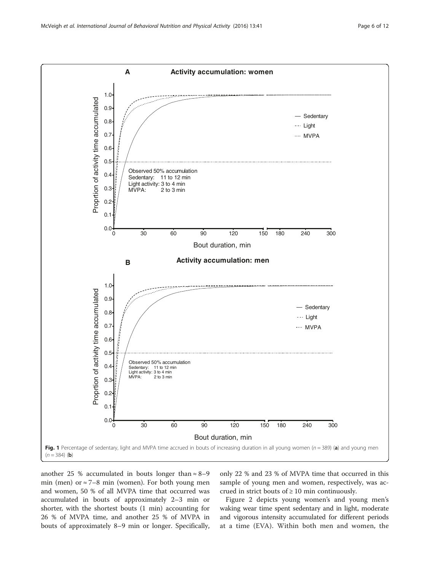<span id="page-5-0"></span>

another 25 % accumulated in bouts longer than  $\approx$  8–9 min (men) or  $\approx$  7–8 min (women). For both young men and women, 50 % of all MVPA time that occurred was accumulated in bouts of approximately 2–3 min or shorter, with the shortest bouts (1 min) accounting for 26 % of MVPA time, and another 25 % of MVPA in bouts of approximately 8–9 min or longer. Specifically, only 22 % and 23 % of MVPA time that occurred in this sample of young men and women, respectively, was accrued in strict bouts of  $\geq 10$  min continuously.

Figure [2](#page-6-0) depicts young women's and young men's waking wear time spent sedentary and in light, moderate and vigorous intensity accumulated for different periods at a time (EVA). Within both men and women, the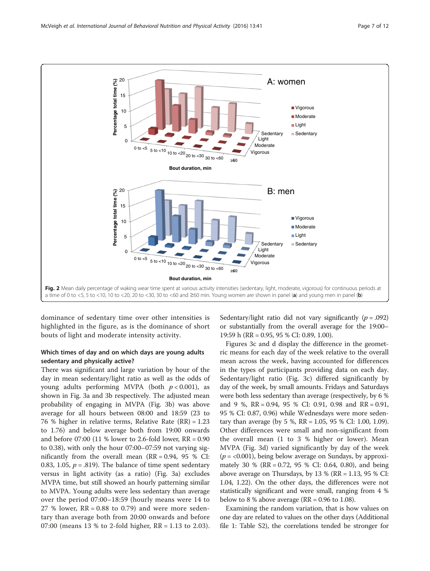<span id="page-6-0"></span>

dominance of sedentary time over other intensities is highlighted in the figure, as is the dominance of short bouts of light and moderate intensity activity.

## Which times of day and on which days are young adults sedentary and physically active?

There was significant and large variation by hour of the day in mean sedentary/light ratio as well as the odds of young adults performing MVPA (both  $p < 0.001$ ), as shown in Fig. [3a](#page-7-0) and [3b](#page-7-0) respectively. The adjusted mean probability of engaging in MVPA (Fig. [3b\)](#page-7-0) was above average for all hours between 08:00 and 18:59 (23 to 76 % higher in relative terms, Relative Rate (RR) = 1.23 to 1.76) and below average both from 19:00 onwards and before 07:00 (11 % lower to 2.6-fold lower, RR = 0.90 to 0.38), with only the hour 07:00–07:59 not varying significantly from the overall mean  $(RR = 0.94, 95 %$  CI: 0.83, 1.05,  $p = .819$ ). The balance of time spent sedentary versus in light activity (as a ratio) (Fig. [3a](#page-7-0)) excludes MVPA time, but still showed an hourly patterning similar to MVPA. Young adults were less sedentary than average over the period 07:00–18:59 (hourly means were 14 to 27 % lower,  $RR = 0.88$  to 0.79) and were more sedentary than average both from 20:00 onwards and before 07:00 (means 13 % to 2-fold higher, RR = 1.13 to 2.03). Sedentary/light ratio did not vary significantly ( $p = .092$ ) or substantially from the overall average for the 19:00– 19:59 h (RR = 0.95, 95 % CI: 0.89, 1.00).

Figures [3c and d](#page-7-0) display the difference in the geometric means for each day of the week relative to the overall mean across the week, having accounted for differences in the types of participants providing data on each day. Sedentary/light ratio (Fig. [3c](#page-7-0)) differed significantly by day of the week, by small amounts. Fridays and Saturdays were both less sedentary than average (respectively, by 6 % and 9 %, RR = 0.94, 95 % CI: 0.91, 0.98 and RR = 0.91, 95 % CI: 0.87, 0.96) while Wednesdays were more sedentary than average (by 5 %, RR = 1.05, 95 % CI: 1.00, 1.09). Other differences were small and non-significant from the overall mean (1 to 3 % higher or lower). Mean MVPA (Fig. [3d\)](#page-7-0) varied significantly by day of the week  $(p = < 0.001)$ , being below average on Sundays, by approximately 30 % (RR = 0.72, 95 % CI: 0.64, 0.80), and being above average on Thursdays, by 13 % ( $RR = 1.13$ , 95 % CI: 1.04, 1.22). On the other days, the differences were not statistically significant and were small, ranging from 4 % below to 8 % above average ( $RR = 0.96$  to 1.08).

Examining the random variation, that is how values on one day are related to values on the other days (Additional file [1:](#page-10-0) Table S2), the correlations tended be stronger for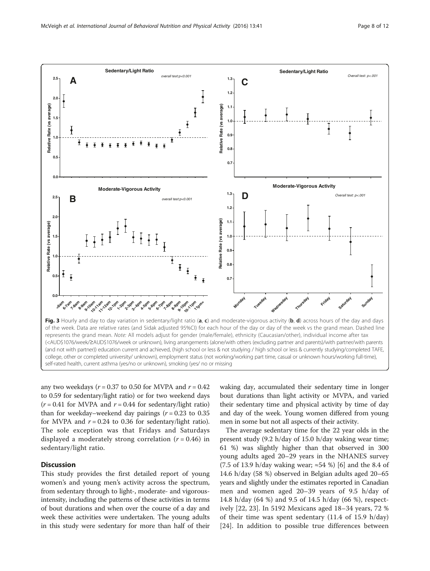<span id="page-7-0"></span>

any two weekdays ( $r = 0.37$  to 0.50 for MVPA and  $r = 0.42$ to 0.59 for sedentary/light ratio) or for two weekend days  $(r = 0.41$  for MVPA and  $r = 0.44$  for sedentary/light ratio) than for weekday–weekend day pairings ( $r = 0.23$  to 0.35 for MVPA and  $r = 0.24$  to 0.36 for sedentary/light ratio). The sole exception was that Fridays and Saturdays displayed a moderately strong correlation  $(r = 0.46)$  in sedentary/light ratio.

## Discussion

This study provides the first detailed report of young women's and young men's activity across the spectrum, from sedentary through to light-, moderate- and vigorousintensity, including the patterns of these activities in terms of bout durations and when over the course of a day and week these activities were undertaken. The young adults in this study were sedentary for more than half of their

waking day, accumulated their sedentary time in longer bout durations than light activity or MVPA, and varied their sedentary time and physical activity by time of day and day of the week. Young women differed from young men in some but not all aspects of their activity.

The average sedentary time for the 22 year olds in the present study (9.2 h/day of 15.0 h/day waking wear time; 61 %) was slightly higher than that observed in 300 young adults aged 20–29 years in the NHANES survey (7.5 of 13.9 h/day waking wear; ≈54 %) [[6](#page-10-0)] and the 8.4 of 14.6 h/day (58 %) observed in Belgian adults aged 20–65 years and slightly under the estimates reported in Canadian men and women aged 20–39 years of 9.5 h/day of 14.8 h/day (64 %) and 9.5 of 14.5 h/day (66 %), respectively [[22, 23](#page-10-0)]. In 5192 Mexicans aged 18–34 years, 72 % of their time was spent sedentary (11.4 of 15.9 h/day) [[24\]](#page-10-0). In addition to possible true differences between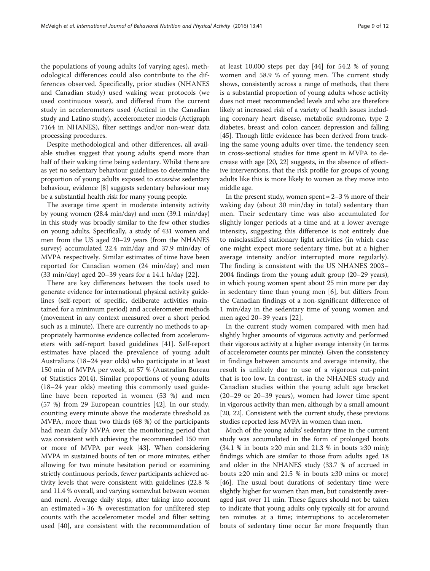the populations of young adults (of varying ages), methodological differences could also contribute to the differences observed. Specifically, prior studies (NHANES and Canadian study) used waking wear protocols (we used continuous wear), and differed from the current study in accelerometers used (Actical in the Canadian study and Latino study), accelerometer models (Actigraph 7164 in NHANES), filter settings and/or non-wear data processing procedures.

Despite methodological and other differences, all available studies suggest that young adults spend more than half of their waking time being sedentary. Whilst there are as yet no sedentary behaviour guidelines to determine the proportion of young adults exposed to excessive sedentary behaviour, evidence [[8\]](#page-10-0) suggests sedentary behaviour may be a substantial health risk for many young people.

The average time spent in moderate intensity activity by young women (28.4 min/day) and men (39.1 min/day) in this study was broadly similar to the few other studies on young adults. Specifically, a study of 431 women and men from the US aged 20–29 years (from the NHANES survey) accumulated 22.4 min/day and 37.9 min/day of MVPA respectively. Similar estimates of time have been reported for Canadian women (24 min/day) and men (33 min/day) aged 20–39 years for a 14.1 h/day [[22](#page-10-0)].

There are key differences between the tools used to generate evidence for international physical activity guidelines (self-report of specific, deliberate activities maintained for a minimum period) and accelerometer methods (movement in any context measured over a short period such as a minute). There are currently no methods to appropriately harmonise evidence collected from accelerometers with self-report based guidelines [[41](#page-11-0)]. Self-report estimates have placed the prevalence of young adult Australians (18–24 year olds) who participate in at least 150 min of MVPA per week, at 57 % (Australian Bureau of Statistics 2014). Similar proportions of young adults (18–24 year olds) meeting this commonly used guideline have been reported in women (53 %) and men (57 %) from 29 European countries [[42\]](#page-11-0). In our study, counting every minute above the moderate threshold as MVPA, more than two thirds (68 %) of the participants had mean daily MVPA over the monitoring period that was consistent with achieving the recommended 150 min or more of MVPA per week [\[43\]](#page-11-0). When considering MVPA in sustained bouts of ten or more minutes, either allowing for two minute hesitation period or examining strictly continuous periods, fewer participants achieved activity levels that were consistent with guidelines (22.8 % and 11.4 % overall, and varying somewhat between women and men). Average daily steps, after taking into account an estimated  $\approx 36$  % overestimation for unfiltered step counts with the accelerometer model and filter setting used [\[40](#page-11-0)], are consistent with the recommendation of at least 10,000 steps per day [\[44](#page-11-0)] for 54.2 % of young women and 58.9 % of young men. The current study shows, consistently across a range of methods, that there is a substantial proportion of young adults whose activity does not meet recommended levels and who are therefore likely at increased risk of a variety of health issues including coronary heart disease, metabolic syndrome, type 2 diabetes, breast and colon cancer, depression and falling [[45](#page-11-0)]. Though little evidence has been derived from tracking the same young adults over time, the tendency seen in cross-sectional studies for time spent in MVPA to decrease with age [[20](#page-10-0), [22\]](#page-10-0) suggests, in the absence of effective interventions, that the risk profile for groups of young adults like this is more likely to worsen as they move into middle age.

In the present study, women spent  $≈ 2–3 %$  more of their waking day (about 30 min/day in total) sedentary than men. Their sedentary time was also accumulated for slightly longer periods at a time and at a lower average intensity, suggesting this difference is not entirely due to misclassified stationary light activities (in which case one might expect more sedentary time, but at a higher average intensity and/or interrupted more regularly). The finding is consistent with the US NHANES 2003– 2004 findings from the young adult group (20–29 years), in which young women spent about 25 min more per day in sedentary time than young men [[6\]](#page-10-0), but differs from the Canadian findings of a non-significant difference of 1 min/day in the sedentary time of young women and men aged 20–39 years [\[22](#page-10-0)].

In the current study women compared with men had slightly higher amounts of vigorous activity and performed their vigorous activity at a higher average intensity (in terms of accelerometer counts per minute). Given the consistency in findings between amounts and average intensity, the result is unlikely due to use of a vigorous cut-point that is too low. In contrast, in the NHANES study and Canadian studies within the young adult age bracket (20–29 or 20–39 years), women had lower time spent in vigorous activity than men, although by a small amount [[20](#page-10-0), [22](#page-10-0)]. Consistent with the current study, these previous studies reported less MVPA in women than men.

Much of the young adults' sedentary time in the current study was accumulated in the form of prolonged bouts (34.1 % in bouts ≥20 min and 21.3 % in bouts ≥30 min); findings which are similar to those from adults aged 18 and older in the NHANES study (33.7 % of accrued in bouts ≥20 min and 21.5 % in bouts ≥30 mins or more) [[46](#page-11-0)]. The usual bout durations of sedentary time were slightly higher for women than men, but consistently averaged just over 11 min. These figures should not be taken to indicate that young adults only typically sit for around ten minutes at a time; interruptions to accelerometer bouts of sedentary time occur far more frequently than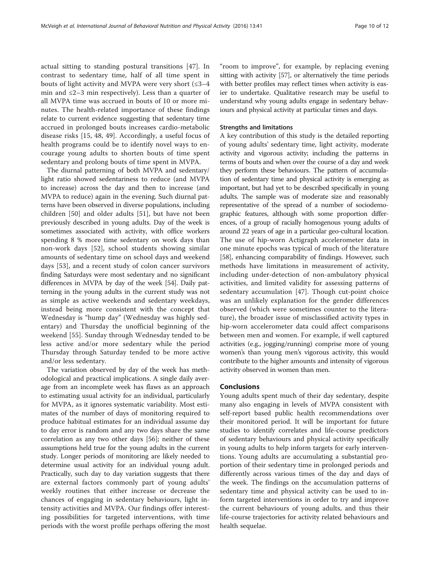actual sitting to standing postural transitions [\[47](#page-11-0)]. In contrast to sedentary time, half of all time spent in bouts of light activity and MVPA were very short  $(≤3-4)$ min and  $\leq$ 2–3 min respectively). Less than a quarter of all MVPA time was accrued in bouts of 10 or more minutes. The health-related importance of these findings relate to current evidence suggesting that sedentary time accrued in prolonged bouts increases cardio-metabolic disease risks [\[15](#page-10-0), [48, 49](#page-11-0)]. Accordingly, a useful focus of health programs could be to identify novel ways to encourage young adults to shorten bouts of time spent sedentary and prolong bouts of time spent in MVPA.

The diurnal patterning of both MVPA and sedentary/ light ratio showed sedentariness to reduce (and MVPA to increase) across the day and then to increase (and MVPA to reduce) again in the evening. Such diurnal patterns have been observed in diverse populations, including children [\[50](#page-11-0)] and older adults [[51\]](#page-11-0), but have not been previously described in young adults. Day of the week is sometimes associated with activity, with office workers spending 8 % more time sedentary on work days than non-work days [\[52](#page-11-0)], school students showing similar amounts of sedentary time on school days and weekend days [[53\]](#page-11-0), and a recent study of colon cancer survivors finding Saturdays were most sedentary and no significant differences in MVPA by day of the week [[54](#page-11-0)]. Daily patterning in the young adults in the current study was not as simple as active weekends and sedentary weekdays, instead being more consistent with the concept that Wednesday is "hump day" (Wednesday was highly sedentary) and Thursday the unofficial beginning of the weekend [\[55](#page-11-0)]. Sunday through Wednesday tended to be less active and/or more sedentary while the period Thursday through Saturday tended to be more active and/or less sedentary.

The variation observed by day of the week has methodological and practical implications. A single daily average from an incomplete week has flaws as an approach to estimating usual activity for an individual, particularly for MVPA, as it ignores systematic variability. Most estimates of the number of days of monitoring required to produce habitual estimates for an individual assume day to day error is random and any two days share the same correlation as any two other days [\[56](#page-11-0)]; neither of these assumptions held true for the young adults in the current study. Longer periods of monitoring are likely needed to determine usual activity for an individual young adult. Practically, such day to day variation suggests that there are external factors commonly part of young adults' weekly routines that either increase or decrease the chances of engaging in sedentary behaviours, light intensity activities and MVPA. Our findings offer interesting possibilities for targeted interventions, with time periods with the worst profile perhaps offering the most

"room to improve", for example, by replacing evening sitting with activity [\[57\]](#page-11-0), or alternatively the time periods with better profiles may reflect times when activity is easier to undertake. Qualitative research may be useful to understand why young adults engage in sedentary behaviours and physical activity at particular times and days.

## Strengths and limitations

A key contribution of this study is the detailed reporting of young adults' sedentary time, light activity, moderate activity and vigorous activity; including the patterns in terms of bouts and when over the course of a day and week they perform these behaviours. The pattern of accumulation of sedentary time and physical activity is emerging as important, but had yet to be described specifically in young adults. The sample was of moderate size and reasonably representative of the spread of a number of sociodemographic features, although with some proportion differences, of a group of racially homogenous young adults of around 22 years of age in a particular geo-cultural location. The use of hip-worn Actigraph accelerometer data in one minute epochs was typical of much of the literature [[58](#page-11-0)], enhancing comparability of findings. However, such methods have limitations in measurement of activity, including under-detection of non-ambulatory physical activities, and limited validity for assessing patterns of sedentary accumulation [\[47](#page-11-0)]. Though cut-point choice was an unlikely explanation for the gender differences observed (which were sometimes counter to the literature), the broader issue of misclassified activity types in hip-worn accelerometer data could affect comparisons between men and women. For example, if well captured activities (e.g., jogging/running) comprise more of young women's than young men's vigorous activity, this would contribute to the higher amounts and intensity of vigorous activity observed in women than men.

## Conclusions

Young adults spent much of their day sedentary, despite many also engaging in levels of MVPA consistent with self-report based public health recommendations over their monitored period. It will be important for future studies to identify correlates and life-course predictors of sedentary behaviours and physical activity specifically in young adults to help inform targets for early interventions. Young adults are accumulating a substantial proportion of their sedentary time in prolonged periods and differently across various times of the day and days of the week. The findings on the accumulation patterns of sedentary time and physical activity can be used to inform targeted interventions in order to try and improve the current behaviours of young adults, and thus their life-course trajectories for activity related behaviours and health sequelae.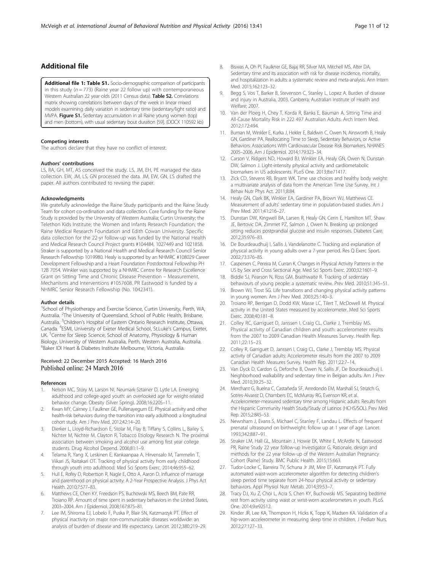## <span id="page-10-0"></span>Additional file

[Additional file 1: Table S1.](dx.doi.org/10.1186/s12966-016-0363-0) Socio-demographic comparison of participants in this study ( $n = 773$ ) (Raine year 22 follow up) with contemporaneous Western Australian 22 year olds (2011 Census data). Table S2. Correlations matrix showing correlations between days of the week in linear mixed models examining daily variation in sedentary time (sedentary/light ratio) and MVPA. Figure S1. Sedentary accumulation in all Raine young women (top) and men (bottom), with usual sedentary bout duration [\[59\]](#page-11-0). (DOCX 110592 kb)

#### Competing interests

The authors declare that they have no conflict of interest.

#### Authors' contributions

LS, RA, GH, MT, AS conceived the study. LS, JM, EH, PE managed the data collection. EW, JM, LS, GN processed the data. JM, EW, GN, LS drafted the paper. All authors contributed to revising the paper.

#### Acknowledgments

We gratefully acknowledge the Raine Study participants and the Raine Study Team for cohort co-ordination and data collection. Core funding for the Raine Study is provided by the University of Western Australia; Curtin University; the Telethon Kids Institute; the Women and Infants Research Foundation; the Raine Medical Research Foundation and Edith Cowan University. Specific data collection for the 22-yr follow-up was funded by the National Health and Medical Research Council Project grants #104484, 1027449 and 1021858. Straker is supported by a National Health and Medical Research Council Senior Research Fellowship 1019980. Healy is supported by an NHMRC #108029 Career Development Fellowship and a Heart Foundation Postdoctoral Fellowship PH 12B 7054. Winkler was supported by a NHMRC Centre for Research Excellence Grant on Sitting Time and Chronic Disease Prevention – Measurement, Mechanisms and Interventions #1057608. PR Eastwood is funded by a NHMRC Senior Research Fellowship (No. 1042341).

#### Author details

<sup>1</sup>School of Physiotherapy and Exercise Science, Curtin University, Perth, WA, Australia. <sup>2</sup>The University of Queensland, School of Public Health, Brisbane, Australia. <sup>3</sup>Children's Hospital of Eastern Ontario Research Institute, Ottawa, Canada. <sup>4</sup>ESMI, University of Exeter Medical School, St.Luke's Campus, Exeter, UK. <sup>5</sup>Centre for Sleep Science, School of Anatomy, Physiology & Human Biology, University of Western Australia, Perth, Western Australia, Australia. 6 Baker IDI Heart & Diabetes Institute Melbourne, Victoria, Australia.

## Received: 22 December 2015 Accepted: 16 March 2016 Published online: 24 March 2016

#### References

- 1. Nelson MC, Story M, Larson NI, Neumark-Sztainer D, Lytle LA. Emerging adulthood and college-aged youth: an overlooked age for weight-related behavior change. Obesity (Silver Spring). 2008;16:2205–11.
- 2. Kwan MY, Cairney J, Faulkner GE, Pullenayegum EE. Physical activity and other health-risk behaviors during the transition into early adulthood: a longitudinal cohort study. Am J Prev Med. 2012;42:14–20.
- 3. Dierker L, Lloyd-Richardson E, Stolar M, Flay B, Tiffany S, Collins L, Bailey S, Nichter M, Nichter M, Clayton R, Tobacco Etiology Research N. The proximal association between smoking and alcohol use among first year college students. Drug Alcohol Depend. 2006;81:1–9.
- 4. Telama R, Yang X, Leskinen E, Kankaanpaa A, Hirvensalo M, Tammelin T, Viikari JS, Raitakari OT. Tracking of physical activity from early childhood through youth into adulthood. Med Sci Sports Exerc. 2014;46:955–62.
- 5. Hull E, Rofey D, Robertson R, Nagle E, Otto A, Aaron D. Influence of marriage and parenthood on physical activity: A 2-Year Prospective Analysis. J Phys Act Health. 2010;7:577–83.
- Matthews CE, Chen KY, Freedson PS, Buchowski MS, Beech BM, Pate RR, Troiano RP. Amount of time spent in sedentary behaviors in the United States, 2003–2004. Am J Epidemiol. 2008;167:875–81.
- 7. Lee IM, Shiroma EJ, Lobelo F, Puska P, Blair SN, Katzmarzyk PT. Effect of physical inactivity on major non-communicable diseases worldwide: an analysis of burden of disease and life expectancy. Lancet. 2012;380:219–29.
- 8. Biswas A, Oh PI, Faulkner GE, Bajaj RR, Silver MA, Mitchell MS, Alter DA. Sedentary time and its association with risk for disease incidence, mortality, and hospitalization in adults: a systematic review and meta-analysis. Ann Intern Med. 2015;162:123–32.
- 9. Begg S, Vos T, Barker B, Stevenson C, Stanley L, Lopez A. Burden of disease and injury in Australia, 2003. Canberra: Australian Institute of Health and Welfare; 2007.
- 10. Van der Ploeg H, Chey T, Korda R, Banks E, Bauman A. Sitting Time and All-Cause Mortality Risk in 222 497 Australian Adults. Arch Intern Med. 2012;172:494.
- 11. Buman M, Winkler E, Kurka J, Hekler E, Baldwin C, Owen N, Ainsworth B, Healy GN, Gardiner PA. Reallocating Time to Sleep, Sedentary Behaviors, or Active Behaviors: Associations With Cardiovascular Disease Risk Biomarkers, NHANES 2005–2006. Am J Epidemiol. 2014;179:323–34.
- 12. Carson V, Ridgers ND, Howard BJ, Winkler EA, Healy GN, Owen N, Dunstan DW, Salmon J. Light-intensity physical activity and cardiometabolic biomarkers in US adolescents. PLoS One. 2013;8:e71417.
- 13. Zick CD, Stevens RB, Bryant WK. Time use choices and healthy body weight: a multivariate analysis of data from the American Time Use Survey. Int J Behav Nutr Phys Act. 2011;8:84.
- 14. Healy GN, Clark BK, Winkler EA, Gardiner PA, Brown WJ, Matthews CE. Measurement of adults' sedentary time in population-based studies. Am J Prev Med. 2011;41:216–27.
- 15. Dunstan DW, Kingwell BA, Larsen R, Healy GN, Cerin E, Hamilton MT, Shaw JE, Bertovic DA, Zimmet PZ, Salmon J, Owen N. Breaking up prolonged sitting reduces postprandial glucose and insulin responses. Diabetes Care. 2012;35:976–83.
- 16. De Bourdeaudhuij I, Sallis J, Vandelanotte C. Tracking and explanation of physical activity in young adults over a 7-year period. Res Q Exerc Sport. 2002;73:376–85.
- 17. Caspersen C, Pereira M, Curran K. Changes in Physical Activity Patterns in the US by Sex and Cross Sectional Age. Med Sci Sports Exerc. 2000;32:1601–9.
- 18. Biddle SJ, Pearson N, Ross GM, Braithwaite R. Tracking of sedentary behaviours of young people: a systematic review. Prev Med. 2010;51:345–51.
- 19. Brown WJ, Trost SG. Life transitions and changing physical activity patterns in young women. Am J Prev Med. 2003;25:140–3.
- 20. Troiano RP, Berrigan D, Dodd KW, Masse LC, Tilert T, McDowell M. Physical activity in the United States measured by accelerometer. Med Sci Sports Exerc. 2008;40:181–8.
- 21. Colley RC, Garriguet D, Janssen I, Craig CL, Clarke J, Tremblay MS. Physical activity of Canadian children and youth: accelerometer results from the 2007 to 2009 Canadian Health Measures Survey. Health Rep. 2011;22:15–23.
- 22. Colley R, Garriguet D, Janssen I, Craig CL, Clarke J, Tremblay MS. Physical activity of Canadian adults: Accelerometer results from the 2007 to 2009 Canadian Health Measures Survey. Health Rep. 2011;22:7–14.
- 23. Van Dyck D, Cardon G, Deforche B, Owen N, Sallis JF, De Bourdeaudhuij I. Neighborhood walkability and sedentary time in Belgian adults. Am J Prev Med. 2010;39:25–32.
- 24. Merchant G, Buelna C, Castañeda SF, Arredondo EM, Marshall SJ, Strizich G, Sotres-Alvarez D, Chambers EC, McMurray RG, Evenson KR, et al. Accelerometer-measured sedentary time among Hispanic adults: Results from the Hispanic Community Health Study/Study of Latinos (HCHS/SOL). Prev Med Rep. 2015;2:845–53.
- 25. Newnham J, Evans S, Michael C, Stanley F, Landau L. Effects of frequent prenatal ultrasound on birthweight: follow up at 1 year of age. Lancet. 1993;342:887–91.
- 26. Straker LM, Hall GL, Mountain J, Howie EK, White E, McArdle N, Eastwood PR, Raine Study 22 year follow-up Investigator G. Rationale, design and methods for the 22 year follow-up of the Western Australian Pregnancy Cohort (Raine) Study. BMC Public Health. 2015;15:663.
- 27. Tudor-Locke C, Barreira TV, Schuna Jr JM, Mire EF, Katzmarzyk PT. Fully automated waist-worn accelerometer algorithm for detecting children's sleep period time separate from 24-hour physical activity or sedentary behaviors. Appl Physiol Nutr Metab. 2014;39:53–7.
- 28. Tracy DJ, Xu Z, Choi L, Acra S, Chen KY, Buchowski MS. Separating bedtime rest from activity using waist or wrist-worn accelerometers in youth. PLoS One. 2014;9:e92512.
- 29. Kinder JR, Lee KA, Thompson H, Hicks K, Topp K, Madsen KA. Validation of a hip-worn accelerometer in measuring sleep time in children. J Pediatr Nurs. 2012;27:127–33.